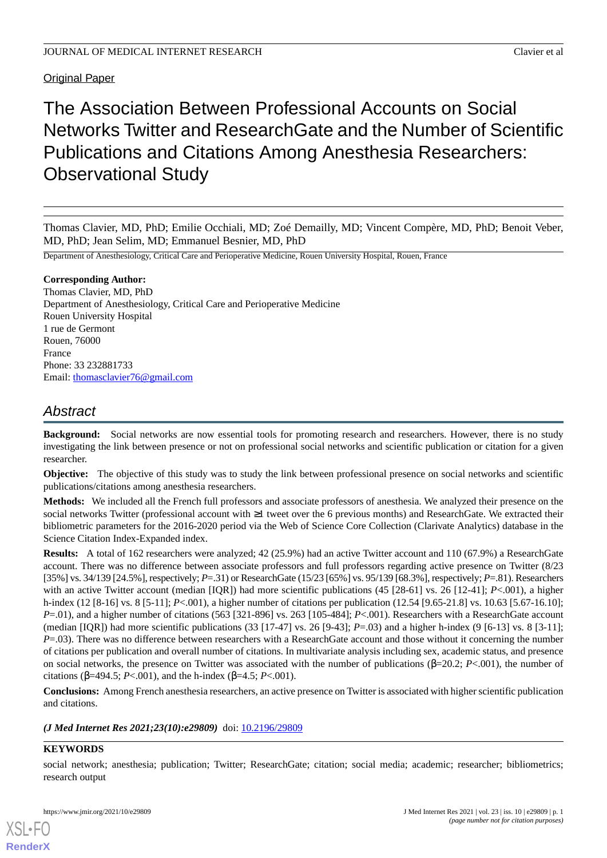# **Original Paper**

The Association Between Professional Accounts on Social Networks Twitter and ResearchGate and the Number of Scientific Publications and Citations Among Anesthesia Researchers: Observational Study

Thomas Clavier, MD, PhD; Emilie Occhiali, MD; Zoé Demailly, MD; Vincent Compère, MD, PhD; Benoit Veber, MD, PhD; Jean Selim, MD; Emmanuel Besnier, MD, PhD

Department of Anesthesiology, Critical Care and Perioperative Medicine, Rouen University Hospital, Rouen, France

### **Corresponding Author:**

Thomas Clavier, MD, PhD Department of Anesthesiology, Critical Care and Perioperative Medicine Rouen University Hospital 1 rue de Germont Rouen, 76000 France Phone: 33 232881733 Email: [thomasclavier76@gmail.com](mailto:thomasclavier76@gmail.com)

# *Abstract*

**Background:** Social networks are now essential tools for promoting research and researchers. However, there is no study investigating the link between presence or not on professional social networks and scientific publication or citation for a given researcher.

**Objective:** The objective of this study was to study the link between professional presence on social networks and scientific publications/citations among anesthesia researchers.

**Methods:** We included all the French full professors and associate professors of anesthesia. We analyzed their presence on the social networks Twitter (professional account with ≥1 tweet over the 6 previous months) and ResearchGate. We extracted their bibliometric parameters for the 2016-2020 period via the Web of Science Core Collection (Clarivate Analytics) database in the Science Citation Index-Expanded index.

**Results:** A total of 162 researchers were analyzed; 42 (25.9%) had an active Twitter account and 110 (67.9%) a ResearchGate account. There was no difference between associate professors and full professors regarding active presence on Twitter (8/23 [35%] vs. 34/139 [24.5%], respectively; *P*=.31) or ResearchGate (15/23 [65%] vs. 95/139 [68.3%], respectively; *P*=.81). Researchers with an active Twitter account (median [IQR]) had more scientific publications (45 [28-61] vs. 26 [12-41]; *P*<.001), a higher h-index (12 [8-16] vs. 8 [5-11]; *P*<.001), a higher number of citations per publication (12.54 [9.65-21.8] vs. 10.63 [5.67-16.10]; *P*=.01), and a higher number of citations (563 [321-896] vs. 263 [105-484]; *P*<.001). Researchers with a ResearchGate account (median [IQR]) had more scientific publications (33 [17-47] vs. 26 [9-43]; *P*=.03) and a higher h-index (9 [6-13] vs. 8 [3-11]; *P*=.03). There was no difference between researchers with a ResearchGate account and those without it concerning the number of citations per publication and overall number of citations. In multivariate analysis including sex, academic status, and presence on social networks, the presence on Twitter was associated with the number of publications (β=20.2; *P*<.001), the number of citations (β=494.5; *P*<.001), and the h-index (β=4.5; *P*<.001).

**Conclusions:** Among French anesthesia researchers, an active presence on Twitter is associated with higher scientific publication and citations.

*(J Med Internet Res 2021;23(10):e29809)* doi:  $10.2196/29809$ 

## **KEYWORDS**

[XSL](http://www.w3.org/Style/XSL)•FO **[RenderX](http://www.renderx.com/)**

social network; anesthesia; publication; Twitter; ResearchGate; citation; social media; academic; researcher; bibliometrics; research output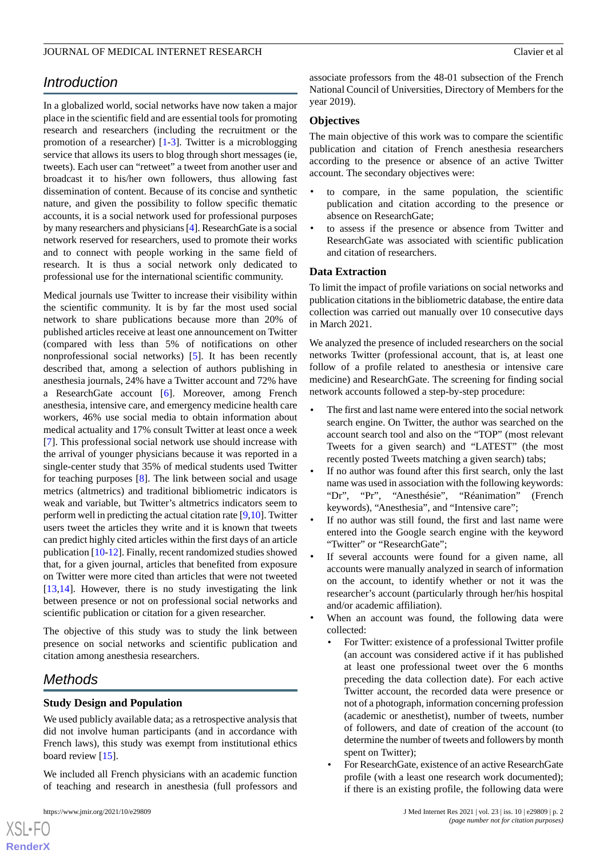# *Introduction*

In a globalized world, social networks have now taken a major place in the scientific field and are essential tools for promoting research and researchers (including the recruitment or the promotion of a researcher) [\[1](#page-6-0)-[3\]](#page-6-1). Twitter is a microblogging service that allows its users to blog through short messages (ie, tweets). Each user can "retweet" a tweet from another user and broadcast it to his/her own followers, thus allowing fast dissemination of content. Because of its concise and synthetic nature, and given the possibility to follow specific thematic accounts, it is a social network used for professional purposes by many researchers and physicians [[4\]](#page-6-2). ResearchGate is a social network reserved for researchers, used to promote their works and to connect with people working in the same field of research. It is thus a social network only dedicated to professional use for the international scientific community.

Medical journals use Twitter to increase their visibility within the scientific community. It is by far the most used social network to share publications because more than 20% of published articles receive at least one announcement on Twitter (compared with less than 5% of notifications on other nonprofessional social networks) [[5\]](#page-6-3). It has been recently described that, among a selection of authors publishing in anesthesia journals, 24% have a Twitter account and 72% have a ResearchGate account [[6\]](#page-6-4). Moreover, among French anesthesia, intensive care, and emergency medicine health care workers, 46% use social media to obtain information about medical actuality and 17% consult Twitter at least once a week [[7\]](#page-7-0). This professional social network use should increase with the arrival of younger physicians because it was reported in a single-center study that 35% of medical students used Twitter for teaching purposes [[8\]](#page-7-1). The link between social and usage metrics (altmetrics) and traditional bibliometric indicators is weak and variable, but Twitter's altmetrics indicators seem to perform well in predicting the actual citation rate [\[9](#page-7-2),[10\]](#page-7-3). Twitter users tweet the articles they write and it is known that tweets can predict highly cited articles within the first days of an article publication [[10-](#page-7-3)[12](#page-7-4)]. Finally, recent randomized studies showed that, for a given journal, articles that benefited from exposure on Twitter were more cited than articles that were not tweeted [[13](#page-7-5)[,14](#page-7-6)]. However, there is no study investigating the link between presence or not on professional social networks and scientific publication or citation for a given researcher.

The objective of this study was to study the link between presence on social networks and scientific publication and citation among anesthesia researchers.

# *Methods*

### **Study Design and Population**

We used publicly available data; as a retrospective analysis that did not involve human participants (and in accordance with French laws), this study was exempt from institutional ethics board review [\[15](#page-7-7)].

We included all French physicians with an academic function of teaching and research in anesthesia (full professors and

 $XSI - F($ **[RenderX](http://www.renderx.com/)** associate professors from the 48-01 subsection of the French National Council of Universities, Directory of Members for the year 2019).

#### **Objectives**

The main objective of this work was to compare the scientific publication and citation of French anesthesia researchers according to the presence or absence of an active Twitter account. The secondary objectives were:

- to compare, in the same population, the scientific publication and citation according to the presence or absence on ResearchGate;
- to assess if the presence or absence from Twitter and ResearchGate was associated with scientific publication and citation of researchers.

### **Data Extraction**

To limit the impact of profile variations on social networks and publication citations in the bibliometric database, the entire data collection was carried out manually over 10 consecutive days in March 2021.

We analyzed the presence of included researchers on the social networks Twitter (professional account, that is, at least one follow of a profile related to anesthesia or intensive care medicine) and ResearchGate. The screening for finding social network accounts followed a step-by-step procedure:

- The first and last name were entered into the social network search engine. On Twitter, the author was searched on the account search tool and also on the "TOP" (most relevant Tweets for a given search) and "LATEST" (the most recently posted Tweets matching a given search) tabs;
- If no author was found after this first search, only the last name was used in association with the following keywords: "Dr", "Pr", "Anesthésie", "Réanimation" (French keywords), "Anesthesia", and "Intensive care";
- If no author was still found, the first and last name were entered into the Google search engine with the keyword "Twitter" or "ResearchGate";
- If several accounts were found for a given name, all accounts were manually analyzed in search of information on the account, to identify whether or not it was the researcher's account (particularly through her/his hospital and/or academic affiliation).
- When an account was found, the following data were collected:
	- For Twitter: existence of a professional Twitter profile (an account was considered active if it has published at least one professional tweet over the 6 months preceding the data collection date). For each active Twitter account, the recorded data were presence or not of a photograph, information concerning profession (academic or anesthetist), number of tweets, number of followers, and date of creation of the account (to determine the number of tweets and followers by month spent on Twitter);
	- For ResearchGate, existence of an active ResearchGate profile (with a least one research work documented); if there is an existing profile, the following data were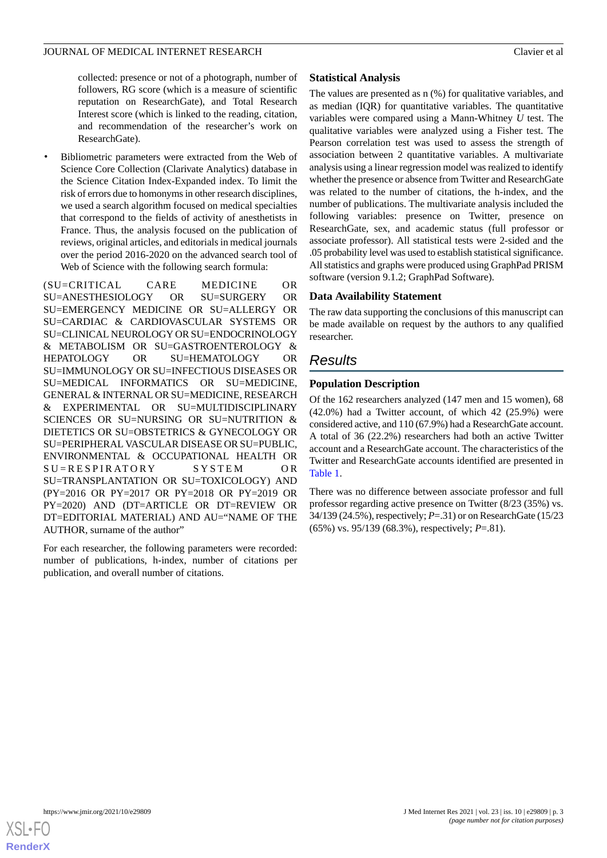collected: presence or not of a photograph, number of followers, RG score (which is a measure of scientific reputation on ResearchGate), and Total Research Interest score (which is linked to the reading, citation, and recommendation of the researcher's work on ResearchGate).

• Bibliometric parameters were extracted from the Web of Science Core Collection (Clarivate Analytics) database in the Science Citation Index-Expanded index. To limit the risk of errors due to homonyms in other research disciplines, we used a search algorithm focused on medical specialties that correspond to the fields of activity of anesthetists in France. Thus, the analysis focused on the publication of reviews, original articles, and editorials in medical journals over the period 2016-2020 on the advanced search tool of Web of Science with the following search formula:

(SU=CRITICAL CARE MEDICINE OR SU=ANESTHESIOLOGY OR SU=SURGERY OR SU=EMERGENCY MEDICINE OR SU=ALLERGY OR SU=CARDIAC & CARDIOVASCULAR SYSTEMS OR SU=CLINICAL NEUROLOGY OR SU=ENDOCRINOLOGY & METABOLISM OR SU=GASTROENTEROLOGY & HEPATOLOGY OR SU=HEMATOLOGY OR SU=IMMUNOLOGY OR SU=INFECTIOUS DISEASES OR SU=MEDICAL INFORMATICS OR SU=MEDICINE, GENERAL & INTERNAL OR SU=MEDICINE, RESEARCH & EXPERIMENTAL OR SU=MULTIDISCIPLINARY SCIENCES OR SU=NURSING OR SU=NUTRITION & DIETETICS OR SU=OBSTETRICS & GYNECOLOGY OR SU=PERIPHERAL VASCULAR DISEASE OR SU=PUBLIC, ENVIRONMENTAL & OCCUPATIONAL HEALTH OR SU=RESPIRATORY SYSTEM OR SU=TRANSPLANTATION OR SU=TOXICOLOGY) AND (PY=2016 OR PY=2017 OR PY=2018 OR PY=2019 OR PY=2020) AND (DT=ARTICLE OR DT=REVIEW OR DT=EDITORIAL MATERIAL) AND AU="NAME OF THE AUTHOR, surname of the author"

For each researcher, the following parameters were recorded: number of publications, h-index, number of citations per publication, and overall number of citations.

# **Statistical Analysis**

The values are presented as n (%) for qualitative variables, and as median (IQR) for quantitative variables. The quantitative variables were compared using a Mann-Whitney *U* test. The qualitative variables were analyzed using a Fisher test. The Pearson correlation test was used to assess the strength of association between 2 quantitative variables. A multivariate analysis using a linear regression model was realized to identify whether the presence or absence from Twitter and ResearchGate was related to the number of citations, the h-index, and the number of publications. The multivariate analysis included the following variables: presence on Twitter, presence on ResearchGate, sex, and academic status (full professor or associate professor). All statistical tests were 2-sided and the .05 probability level was used to establish statistical significance. All statistics and graphs were produced using GraphPad PRISM software (version 9.1.2; GraphPad Software).

# **Data Availability Statement**

The raw data supporting the conclusions of this manuscript can be made available on request by the authors to any qualified researcher.

# *Results*

# **Population Description**

Of the 162 researchers analyzed (147 men and 15 women), 68 (42.0%) had a Twitter account, of which 42 (25.9%) were considered active, and 110 (67.9%) had a ResearchGate account. A total of 36 (22.2%) researchers had both an active Twitter account and a ResearchGate account. The characteristics of the Twitter and ResearchGate accounts identified are presented in [Table 1](#page-3-0).

There was no difference between associate professor and full professor regarding active presence on Twitter (8/23 (35%) vs. 34/139 (24.5%), respectively; *P*=.31) or on ResearchGate (15/23 (65%) vs. 95/139 (68.3%), respectively; *P*=.81).

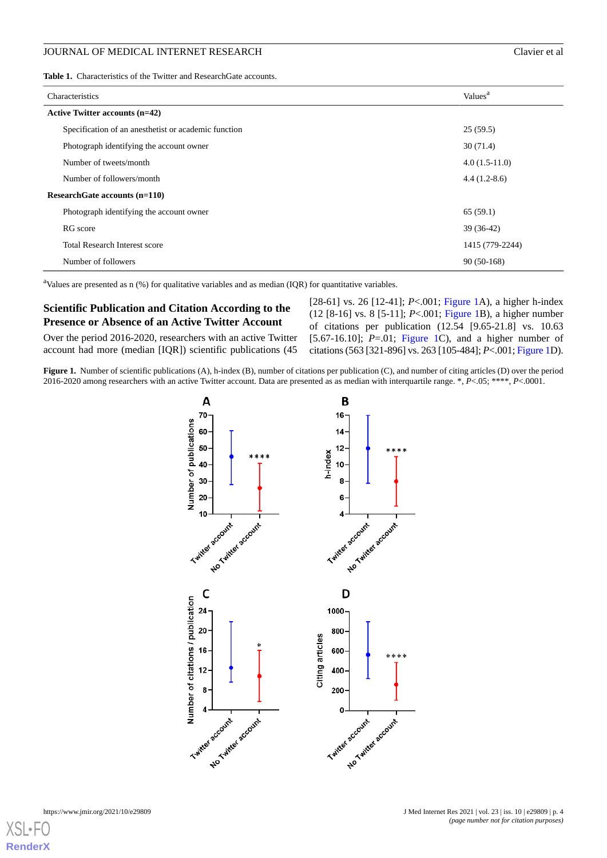<span id="page-3-0"></span>

| Characteristics                                      | Values <sup>a</sup> |  |  |  |  |  |
|------------------------------------------------------|---------------------|--|--|--|--|--|
| <b>Active Twitter accounts (n=42)</b>                |                     |  |  |  |  |  |
| Specification of an anesthetist or academic function | 25(59.5)            |  |  |  |  |  |
| Photograph identifying the account owner             | 30(71.4)            |  |  |  |  |  |
| Number of tweets/month                               | $4.0(1.5-11.0)$     |  |  |  |  |  |
| Number of followers/month                            | $4.4(1.2-8.6)$      |  |  |  |  |  |
| ResearchGate accounts (n=110)                        |                     |  |  |  |  |  |
| Photograph identifying the account owner             | 65(59.1)            |  |  |  |  |  |
| RG score                                             | $39(36-42)$         |  |  |  |  |  |
| <b>Total Research Interest score</b>                 | 1415 (779-2244)     |  |  |  |  |  |
| Number of followers                                  | $90(50-168)$        |  |  |  |  |  |

<sup>a</sup>Values are presented as  $n$  (%) for qualitative variables and as median (IQR) for quantitative variables.

# **Scientific Publication and Citation According to the Presence or Absence of an Active Twitter Account**

<span id="page-3-1"></span>Over the period 2016-2020, researchers with an active Twitter account had more (median [IQR]) scientific publications (45

[28-61] vs. 26 [12-41]; *P*<.001; [Figure 1A](#page-3-1)), a higher h-index (12 [8-16] vs. 8 [5-11]; *P*<.001; [Figure 1B](#page-3-1)), a higher number of citations per publication (12.54 [9.65-21.8] vs. 10.63 [5.67-16.10]; *P*=.01; [Figure 1](#page-3-1)C), and a higher number of citations (563 [321-896] vs. 263 [105-484]; *P*<.001; [Figure 1D](#page-3-1)).

**Figure 1.** Number of scientific publications (A), h-index (B), number of citations per publication (C), and number of citing articles (D) over the period 2016-2020 among researchers with an active Twitter account. Data are presented as as median with interquartile range. \*, *P*<.05; \*\*\*\*, *P*<.0001.



[XSL](http://www.w3.org/Style/XSL)•FO **[RenderX](http://www.renderx.com/)**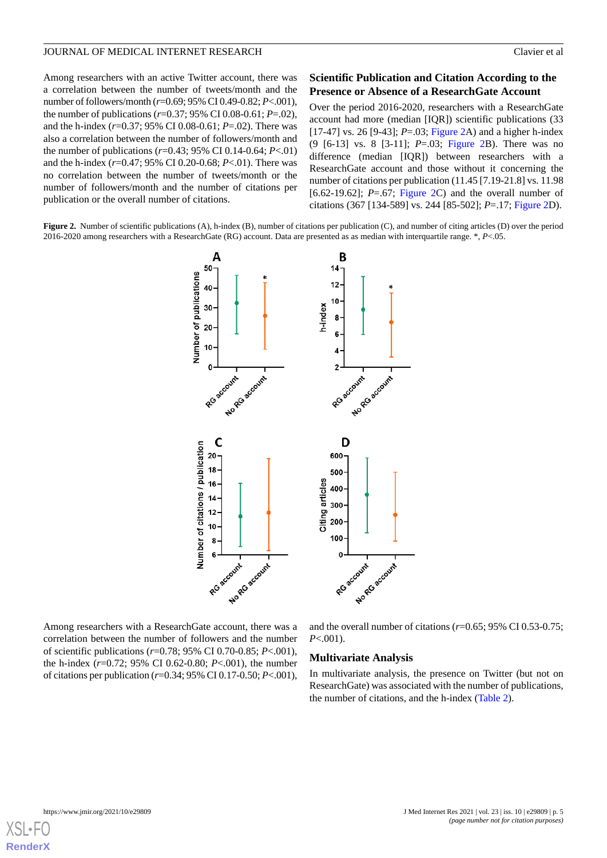Among researchers with an active Twitter account, there was a correlation between the number of tweets/month and the number of followers/month (*r*=0.69; 95% CI 0.49-0.82; *P*<.001), the number of publications (*r*=0.37; 95% CI 0.08-0.61; *P*=.02), and the h-index (*r*=0.37; 95% CI 0.08-0.61; *P*=.02). There was also a correlation between the number of followers/month and the number of publications (*r*=0.43; 95% CI 0.14-0.64; *P*<.01) and the h-index (*r*=0.47; 95% CI 0.20-0.68; *P*<.01). There was no correlation between the number of tweets/month or the number of followers/month and the number of citations per publication or the overall number of citations.

## **Scientific Publication and Citation According to the Presence or Absence of a ResearchGate Account**

Over the period 2016-2020, researchers with a ResearchGate account had more (median [IQR]) scientific publications (33 [17-47] vs. 26 [9-43]; *P*=.03; [Figure 2A](#page-4-0)) and a higher h-index (9 [6-13] vs. 8 [3-11]; *P*=.03; [Figure 2B](#page-4-0)). There was no difference (median [IQR]) between researchers with a ResearchGate account and those without it concerning the number of citations per publication (11.45 [7.19-21.8] vs. 11.98 [6.62-19.62]; *P*=.67; [Figure 2C](#page-4-0)) and the overall number of citations (367 [134-589] vs. 244 [85-502]; *P*=.17; [Figure 2](#page-4-0)D).

<span id="page-4-0"></span>**Figure 2.** Number of scientific publications (A), h-index (B), number of citations per publication (C), and number of citing articles (D) over the period 2016-2020 among researchers with a ResearchGate (RG) account. Data are presented as as median with interquartile range. \*, *P*<.05.



Among researchers with a ResearchGate account, there was a correlation between the number of followers and the number of scientific publications (*r*=0.78; 95% CI 0.70-0.85; *P*<.001), the h-index (*r*=0.72; 95% CI 0.62-0.80; *P*<.001), the number of citations per publication (*r*=0.34; 95% CI 0.17-0.50; *P*<.001),

and the overall number of citations (*r*=0.65; 95% CI 0.53-0.75; *P*<.001).

#### **Multivariate Analysis**

In multivariate analysis, the presence on Twitter (but not on ResearchGate) was associated with the number of publications, the number of citations, and the h-index [\(Table 2](#page-5-0)).

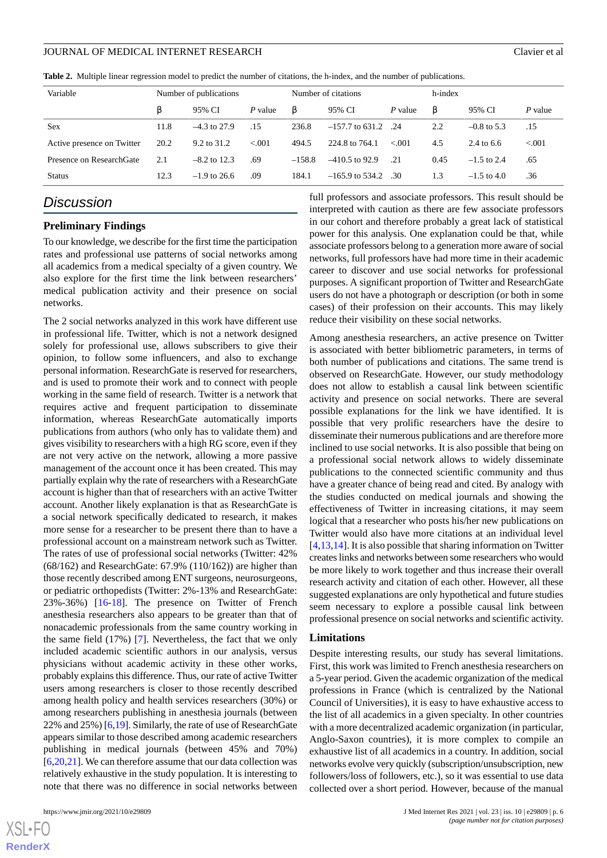<span id="page-5-0"></span>

|  |  | <b>Table 2.</b> Multiple linear regression model to predict the number of citations, the h-index, and the number of publications. |  |  |  |  |  |  |
|--|--|-----------------------------------------------------------------------------------------------------------------------------------|--|--|--|--|--|--|
|--|--|-----------------------------------------------------------------------------------------------------------------------------------|--|--|--|--|--|--|

| Variable                   | Number of publications |                |          | Number of citations |                   |         | h-index |               |          |
|----------------------------|------------------------|----------------|----------|---------------------|-------------------|---------|---------|---------------|----------|
|                            | ß                      | 95% CI         | P value  | ß                   | 95% CI            | P value | β       | 95% CI        | P value  |
| Sex                        | 11.8                   | $-4.3$ to 27.9 | .15      | 236.8               | $-157.7$ to 631.2 | - 24    | 2.2     | $-0.8$ to 5.3 | .15      |
| Active presence on Twitter | 20.2                   | 9.2 to 31.2    | ${<}001$ | 494.5               | 224.8 to 764.1    | < 0.01  | 4.5     | 2.4 to 6.6    | ${<}001$ |
| Presence on ResearchGate   | 2.1                    | $-8.2$ to 12.3 | .69      | $-158.8$            | $-410.5$ to 92.9  | .21     | 0.45    | $-1.5$ to 2.4 | .65      |
| <b>Status</b>              | 12.3                   | $-1.9$ to 26.6 | .09      | 184.1               | $-165.9$ to 534.2 | -30     | 1.3     | $-1.5$ to 4.0 | .36      |

# *Discussion*

#### **Preliminary Findings**

To our knowledge, we describe for the first time the participation rates and professional use patterns of social networks among all academics from a medical specialty of a given country. We also explore for the first time the link between researchers' medical publication activity and their presence on social networks.

The 2 social networks analyzed in this work have different use in professional life. Twitter, which is not a network designed solely for professional use, allows subscribers to give their opinion, to follow some influencers, and also to exchange personal information. ResearchGate is reserved for researchers, and is used to promote their work and to connect with people working in the same field of research. Twitter is a network that requires active and frequent participation to disseminate information, whereas ResearchGate automatically imports publications from authors (who only has to validate them) and gives visibility to researchers with a high RG score, even if they are not very active on the network, allowing a more passive management of the account once it has been created. This may partially explain why the rate of researchers with a ResearchGate account is higher than that of researchers with an active Twitter account. Another likely explanation is that as ResearchGate is a social network specifically dedicated to research, it makes more sense for a researcher to be present there than to have a professional account on a mainstream network such as Twitter. The rates of use of professional social networks (Twitter: 42% (68/162) and ResearchGate: 67.9% (110/162)) are higher than those recently described among ENT surgeons, neurosurgeons, or pediatric orthopedists (Twitter: 2%-13% and ResearchGate: 23%-36%) [\[16](#page-7-8)[-18](#page-7-9)]. The presence on Twitter of French anesthesia researchers also appears to be greater than that of nonacademic professionals from the same country working in the same field (17%) [\[7](#page-7-0)]. Nevertheless, the fact that we only included academic scientific authors in our analysis, versus physicians without academic activity in these other works, probably explains this difference. Thus, our rate of active Twitter users among researchers is closer to those recently described among health policy and health services researchers (30%) or among researchers publishing in anesthesia journals (between 22% and 25%) [\[6](#page-6-4),[19\]](#page-7-10). Similarly, the rate of use of ResearchGate appears similar to those described among academic researchers publishing in medical journals (between 45% and 70%) [[6](#page-6-4)[,20](#page-7-11),[21\]](#page-7-12). We can therefore assume that our data collection was relatively exhaustive in the study population. It is interesting to note that there was no difference in social networks between

 $XSI - F($ **[RenderX](http://www.renderx.com/)** full professors and associate professors. This result should be interpreted with caution as there are few associate professors in our cohort and therefore probably a great lack of statistical power for this analysis. One explanation could be that, while associate professors belong to a generation more aware of social networks, full professors have had more time in their academic career to discover and use social networks for professional purposes. A significant proportion of Twitter and ResearchGate users do not have a photograph or description (or both in some cases) of their profession on their accounts. This may likely reduce their visibility on these social networks.

Among anesthesia researchers, an active presence on Twitter is associated with better bibliometric parameters, in terms of both number of publications and citations. The same trend is observed on ResearchGate. However, our study methodology does not allow to establish a causal link between scientific activity and presence on social networks. There are several possible explanations for the link we have identified. It is possible that very prolific researchers have the desire to disseminate their numerous publications and are therefore more inclined to use social networks. It is also possible that being on a professional social network allows to widely disseminate publications to the connected scientific community and thus have a greater chance of being read and cited. By analogy with the studies conducted on medical journals and showing the effectiveness of Twitter in increasing citations, it may seem logical that a researcher who posts his/her new publications on Twitter would also have more citations at an individual level [[4](#page-6-2)[,13](#page-7-5),[14\]](#page-7-6). It is also possible that sharing information on Twitter creates links and networks between some researchers who would be more likely to work together and thus increase their overall research activity and citation of each other. However, all these suggested explanations are only hypothetical and future studies seem necessary to explore a possible causal link between professional presence on social networks and scientific activity.

#### **Limitations**

Despite interesting results, our study has several limitations. First, this work was limited to French anesthesia researchers on a 5-year period. Given the academic organization of the medical professions in France (which is centralized by the National Council of Universities), it is easy to have exhaustive access to the list of all academics in a given specialty. In other countries with a more decentralized academic organization (in particular, Anglo-Saxon countries), it is more complex to compile an exhaustive list of all academics in a country. In addition, social networks evolve very quickly (subscription/unsubscription, new followers/loss of followers, etc.), so it was essential to use data collected over a short period. However, because of the manual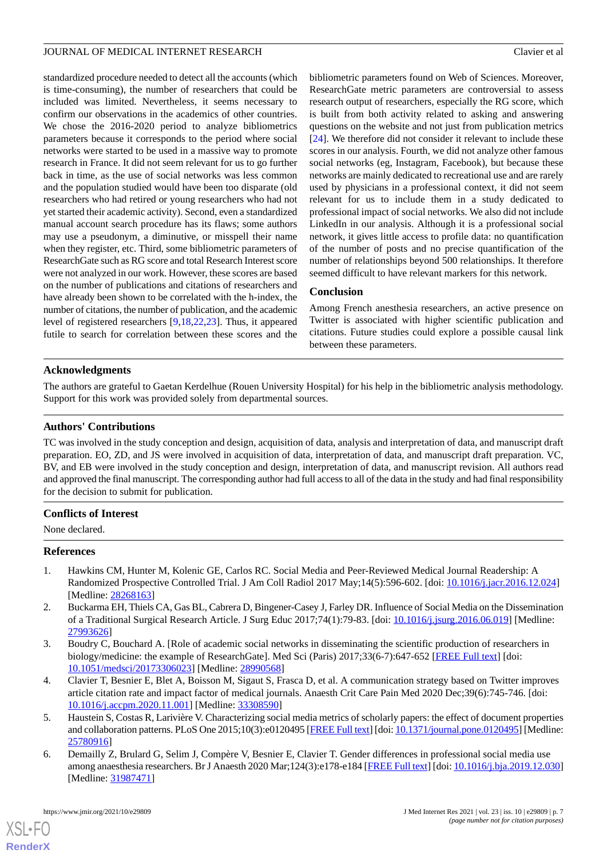standardized procedure needed to detect all the accounts (which is time-consuming), the number of researchers that could be included was limited. Nevertheless, it seems necessary to confirm our observations in the academics of other countries. We chose the 2016-2020 period to analyze bibliometrics parameters because it corresponds to the period where social networks were started to be used in a massive way to promote research in France. It did not seem relevant for us to go further back in time, as the use of social networks was less common and the population studied would have been too disparate (old researchers who had retired or young researchers who had not yet started their academic activity). Second, even a standardized manual account search procedure has its flaws; some authors may use a pseudonym, a diminutive, or misspell their name when they register, etc. Third, some bibliometric parameters of ResearchGate such as RG score and total Research Interest score were not analyzed in our work. However, these scores are based on the number of publications and citations of researchers and have already been shown to be correlated with the h-index, the number of citations, the number of publication, and the academic level of registered researchers [[9](#page-7-2)[,18](#page-7-9),[22](#page-7-13)[,23](#page-7-14)]. Thus, it appeared futile to search for correlation between these scores and the

bibliometric parameters found on Web of Sciences. Moreover, ResearchGate metric parameters are controversial to assess research output of researchers, especially the RG score, which is built from both activity related to asking and answering questions on the website and not just from publication metrics [[24\]](#page-7-15). We therefore did not consider it relevant to include these scores in our analysis. Fourth, we did not analyze other famous social networks (eg, Instagram, Facebook), but because these networks are mainly dedicated to recreational use and are rarely used by physicians in a professional context, it did not seem relevant for us to include them in a study dedicated to professional impact of social networks. We also did not include LinkedIn in our analysis. Although it is a professional social network, it gives little access to profile data: no quantification of the number of posts and no precise quantification of the number of relationships beyond 500 relationships. It therefore seemed difficult to have relevant markers for this network.

## **Conclusion**

Among French anesthesia researchers, an active presence on Twitter is associated with higher scientific publication and citations. Future studies could explore a possible causal link between these parameters.

# **Acknowledgments**

The authors are grateful to Gaetan Kerdelhue (Rouen University Hospital) for his help in the bibliometric analysis methodology. Support for this work was provided solely from departmental sources.

# **Authors' Contributions**

TC was involved in the study conception and design, acquisition of data, analysis and interpretation of data, and manuscript draft preparation. EO, ZD, and JS were involved in acquisition of data, interpretation of data, and manuscript draft preparation. VC, BV, and EB were involved in the study conception and design, interpretation of data, and manuscript revision. All authors read and approved the final manuscript. The corresponding author had full access to all of the data in the study and had final responsibility for the decision to submit for publication.

## <span id="page-6-0"></span>**Conflicts of Interest**

None declared.

## **References**

- <span id="page-6-1"></span>1. Hawkins CM, Hunter M, Kolenic GE, Carlos RC. Social Media and Peer-Reviewed Medical Journal Readership: A Randomized Prospective Controlled Trial. J Am Coll Radiol 2017 May;14(5):596-602. [doi: [10.1016/j.jacr.2016.12.024\]](http://dx.doi.org/10.1016/j.jacr.2016.12.024) [Medline: [28268163](http://www.ncbi.nlm.nih.gov/entrez/query.fcgi?cmd=Retrieve&db=PubMed&list_uids=28268163&dopt=Abstract)]
- <span id="page-6-2"></span>2. Buckarma EH, Thiels CA, Gas BL, Cabrera D, Bingener-Casey J, Farley DR. Influence of Social Media on the Dissemination of a Traditional Surgical Research Article. J Surg Educ 2017;74(1):79-83. [doi: [10.1016/j.jsurg.2016.06.019\]](http://dx.doi.org/10.1016/j.jsurg.2016.06.019) [Medline: [27993626](http://www.ncbi.nlm.nih.gov/entrez/query.fcgi?cmd=Retrieve&db=PubMed&list_uids=27993626&dopt=Abstract)]
- <span id="page-6-3"></span>3. Boudry C, Bouchard A. [Role of academic social networks in disseminating the scientific production of researchers in biology/medicine: the example of ResearchGate]. Med Sci (Paris) 2017;33(6-7):647-652 [\[FREE Full text\]](http://publications.edpsciences.org/10.1051/medsci/20173306023) [doi: [10.1051/medsci/20173306023\]](http://dx.doi.org/10.1051/medsci/20173306023) [Medline: [28990568\]](http://www.ncbi.nlm.nih.gov/entrez/query.fcgi?cmd=Retrieve&db=PubMed&list_uids=28990568&dopt=Abstract)
- <span id="page-6-4"></span>4. Clavier T, Besnier E, Blet A, Boisson M, Sigaut S, Frasca D, et al. A communication strategy based on Twitter improves article citation rate and impact factor of medical journals. Anaesth Crit Care Pain Med 2020 Dec;39(6):745-746. [doi: [10.1016/j.accpm.2020.11.001\]](http://dx.doi.org/10.1016/j.accpm.2020.11.001) [Medline: [33308590\]](http://www.ncbi.nlm.nih.gov/entrez/query.fcgi?cmd=Retrieve&db=PubMed&list_uids=33308590&dopt=Abstract)
- 5. Haustein S, Costas R, Larivière V. Characterizing social media metrics of scholarly papers: the effect of document properties and collaboration patterns. PLoS One 2015;10(3):e0120495 [\[FREE Full text](https://dx.plos.org/10.1371/journal.pone.0120495)] [doi: [10.1371/journal.pone.0120495\]](http://dx.doi.org/10.1371/journal.pone.0120495) [Medline: [25780916](http://www.ncbi.nlm.nih.gov/entrez/query.fcgi?cmd=Retrieve&db=PubMed&list_uids=25780916&dopt=Abstract)]
- 6. Demailly Z, Brulard G, Selim J, Compère V, Besnier E, Clavier T. Gender differences in professional social media use among anaesthesia researchers. Br J Anaesth 2020 Mar;124(3):e178-e184 [[FREE Full text](https://linkinghub.elsevier.com/retrieve/pii/S0007-0912(19)31020-7)] [doi: [10.1016/j.bja.2019.12.030\]](http://dx.doi.org/10.1016/j.bja.2019.12.030) [Medline: [31987471](http://www.ncbi.nlm.nih.gov/entrez/query.fcgi?cmd=Retrieve&db=PubMed&list_uids=31987471&dopt=Abstract)]

[XSL](http://www.w3.org/Style/XSL)•FO **[RenderX](http://www.renderx.com/)**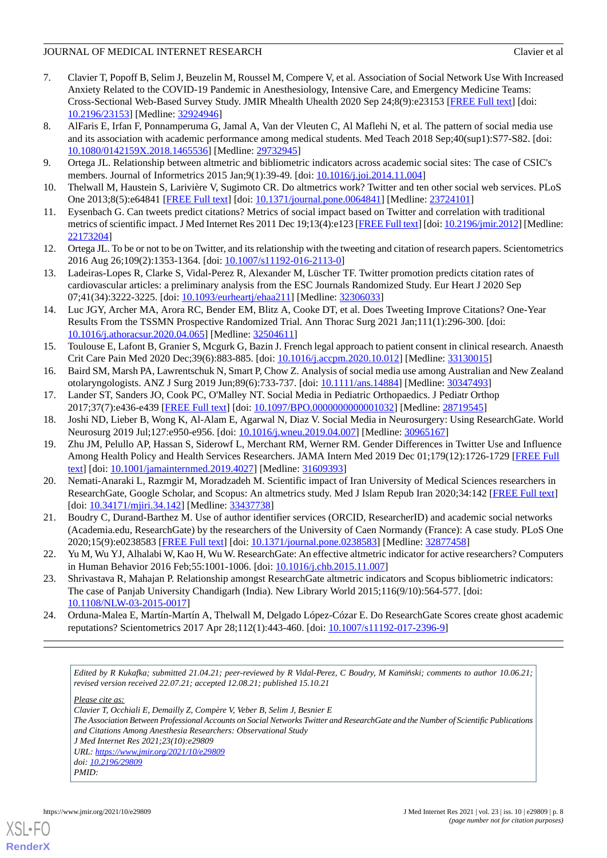- <span id="page-7-0"></span>7. Clavier T, Popoff B, Selim J, Beuzelin M, Roussel M, Compere V, et al. Association of Social Network Use With Increased Anxiety Related to the COVID-19 Pandemic in Anesthesiology, Intensive Care, and Emergency Medicine Teams: Cross-Sectional Web-Based Survey Study. JMIR Mhealth Uhealth 2020 Sep 24;8(9):e23153 [[FREE Full text](https://mhealth.jmir.org/2020/9/e23153/)] [doi: [10.2196/23153\]](http://dx.doi.org/10.2196/23153) [Medline: [32924946\]](http://www.ncbi.nlm.nih.gov/entrez/query.fcgi?cmd=Retrieve&db=PubMed&list_uids=32924946&dopt=Abstract)
- <span id="page-7-1"></span>8. AlFaris E, Irfan F, Ponnamperuma G, Jamal A, Van der Vleuten C, Al Maflehi N, et al. The pattern of social media use and its association with academic performance among medical students. Med Teach 2018 Sep;40(sup1):S77-S82. [doi: [10.1080/0142159X.2018.1465536](http://dx.doi.org/10.1080/0142159X.2018.1465536)] [Medline: [29732945\]](http://www.ncbi.nlm.nih.gov/entrez/query.fcgi?cmd=Retrieve&db=PubMed&list_uids=29732945&dopt=Abstract)
- <span id="page-7-3"></span><span id="page-7-2"></span>9. Ortega JL. Relationship between altmetric and bibliometric indicators across academic social sites: The case of CSIC's members. Journal of Informetrics 2015 Jan;9(1):39-49. [doi: [10.1016/j.joi.2014.11.004](http://dx.doi.org/10.1016/j.joi.2014.11.004)]
- 10. Thelwall M, Haustein S, Larivière V, Sugimoto CR. Do altmetrics work? Twitter and ten other social web services. PLoS One 2013;8(5):e64841 [\[FREE Full text\]](https://dx.plos.org/10.1371/journal.pone.0064841) [doi: [10.1371/journal.pone.0064841\]](http://dx.doi.org/10.1371/journal.pone.0064841) [Medline: [23724101\]](http://www.ncbi.nlm.nih.gov/entrez/query.fcgi?cmd=Retrieve&db=PubMed&list_uids=23724101&dopt=Abstract)
- <span id="page-7-4"></span>11. Eysenbach G. Can tweets predict citations? Metrics of social impact based on Twitter and correlation with traditional metrics of scientific impact. J Med Internet Res 2011 Dec 19;13(4):e123 [[FREE Full text](https://www.jmir.org/2011/4/e123/)] [doi: [10.2196/jmir.2012\]](http://dx.doi.org/10.2196/jmir.2012) [Medline: [22173204](http://www.ncbi.nlm.nih.gov/entrez/query.fcgi?cmd=Retrieve&db=PubMed&list_uids=22173204&dopt=Abstract)]
- <span id="page-7-5"></span>12. Ortega JL. To be or not to be on Twitter, and its relationship with the tweeting and citation of research papers. Scientometrics 2016 Aug 26;109(2):1353-1364. [doi: [10.1007/s11192-016-2113-0\]](http://dx.doi.org/10.1007/s11192-016-2113-0)
- <span id="page-7-6"></span>13. Ladeiras-Lopes R, Clarke S, Vidal-Perez R, Alexander M, Lüscher TF. Twitter promotion predicts citation rates of cardiovascular articles: a preliminary analysis from the ESC Journals Randomized Study. Eur Heart J 2020 Sep 07;41(34):3222-3225. [doi: [10.1093/eurheartj/ehaa211](http://dx.doi.org/10.1093/eurheartj/ehaa211)] [Medline: [32306033](http://www.ncbi.nlm.nih.gov/entrez/query.fcgi?cmd=Retrieve&db=PubMed&list_uids=32306033&dopt=Abstract)]
- <span id="page-7-7"></span>14. Luc JGY, Archer MA, Arora RC, Bender EM, Blitz A, Cooke DT, et al. Does Tweeting Improve Citations? One-Year Results From the TSSMN Prospective Randomized Trial. Ann Thorac Surg 2021 Jan;111(1):296-300. [doi: [10.1016/j.athoracsur.2020.04.065\]](http://dx.doi.org/10.1016/j.athoracsur.2020.04.065) [Medline: [32504611](http://www.ncbi.nlm.nih.gov/entrez/query.fcgi?cmd=Retrieve&db=PubMed&list_uids=32504611&dopt=Abstract)]
- <span id="page-7-8"></span>15. Toulouse E, Lafont B, Granier S, Mcgurk G, Bazin J. French legal approach to patient consent in clinical research. Anaesth Crit Care Pain Med 2020 Dec;39(6):883-885. [doi: [10.1016/j.accpm.2020.10.012\]](http://dx.doi.org/10.1016/j.accpm.2020.10.012) [Medline: [33130015](http://www.ncbi.nlm.nih.gov/entrez/query.fcgi?cmd=Retrieve&db=PubMed&list_uids=33130015&dopt=Abstract)]
- <span id="page-7-9"></span>16. Baird SM, Marsh PA, Lawrentschuk N, Smart P, Chow Z. Analysis of social media use among Australian and New Zealand otolaryngologists. ANZ J Surg 2019 Jun;89(6):733-737. [doi: [10.1111/ans.14884](http://dx.doi.org/10.1111/ans.14884)] [Medline: [30347493\]](http://www.ncbi.nlm.nih.gov/entrez/query.fcgi?cmd=Retrieve&db=PubMed&list_uids=30347493&dopt=Abstract)
- <span id="page-7-10"></span>17. Lander ST, Sanders JO, Cook PC, O'Malley NT. Social Media in Pediatric Orthopaedics. J Pediatr Orthop 2017;37(7):e436-e439 [[FREE Full text](http://europepmc.org/abstract/MED/28719545)] [doi: [10.1097/BPO.0000000000001032\]](http://dx.doi.org/10.1097/BPO.0000000000001032) [Medline: [28719545](http://www.ncbi.nlm.nih.gov/entrez/query.fcgi?cmd=Retrieve&db=PubMed&list_uids=28719545&dopt=Abstract)]
- 18. Joshi ND, Lieber B, Wong K, Al-Alam E, Agarwal N, Diaz V. Social Media in Neurosurgery: Using ResearchGate. World Neurosurg 2019 Jul;127:e950-e956. [doi: [10.1016/j.wneu.2019.04.007](http://dx.doi.org/10.1016/j.wneu.2019.04.007)] [Medline: [30965167\]](http://www.ncbi.nlm.nih.gov/entrez/query.fcgi?cmd=Retrieve&db=PubMed&list_uids=30965167&dopt=Abstract)
- <span id="page-7-11"></span>19. Zhu JM, Pelullo AP, Hassan S, Siderowf L, Merchant RM, Werner RM. Gender Differences in Twitter Use and Influence Among Health Policy and Health Services Researchers. JAMA Intern Med 2019 Dec 01;179(12):1726-1729 [[FREE Full](http://europepmc.org/abstract/MED/31609393) [text](http://europepmc.org/abstract/MED/31609393)] [doi: [10.1001/jamainternmed.2019.4027\]](http://dx.doi.org/10.1001/jamainternmed.2019.4027) [Medline: [31609393\]](http://www.ncbi.nlm.nih.gov/entrez/query.fcgi?cmd=Retrieve&db=PubMed&list_uids=31609393&dopt=Abstract)
- <span id="page-7-13"></span><span id="page-7-12"></span>20. Nemati-Anaraki L, Razmgir M, Moradzadeh M. Scientific impact of Iran University of Medical Sciences researchers in ResearchGate, Google Scholar, and Scopus: An altmetrics study. Med J Islam Repub Iran 2020;34:142 [[FREE Full text\]](http://europepmc.org/abstract/MED/33437738) [doi: [10.34171/mjiri.34.142\]](http://dx.doi.org/10.34171/mjiri.34.142) [Medline: [33437738](http://www.ncbi.nlm.nih.gov/entrez/query.fcgi?cmd=Retrieve&db=PubMed&list_uids=33437738&dopt=Abstract)]
- <span id="page-7-14"></span>21. Boudry C, Durand-Barthez M. Use of author identifier services (ORCID, ResearcherID) and academic social networks (Academia.edu, ResearchGate) by the researchers of the University of Caen Normandy (France): A case study. PLoS One 2020;15(9):e0238583 [\[FREE Full text](https://dx.plos.org/10.1371/journal.pone.0238583)] [doi: [10.1371/journal.pone.0238583\]](http://dx.doi.org/10.1371/journal.pone.0238583) [Medline: [32877458\]](http://www.ncbi.nlm.nih.gov/entrez/query.fcgi?cmd=Retrieve&db=PubMed&list_uids=32877458&dopt=Abstract)
- <span id="page-7-15"></span>22. Yu M, Wu YJ, Alhalabi W, Kao H, Wu W. ResearchGate: An effective altmetric indicator for active researchers? Computers in Human Behavior 2016 Feb;55:1001-1006. [doi: [10.1016/j.chb.2015.11.007\]](http://dx.doi.org/10.1016/j.chb.2015.11.007)
- 23. Shrivastava R, Mahajan P. Relationship amongst ResearchGate altmetric indicators and Scopus bibliometric indicators: The case of Panjab University Chandigarh (India). New Library World 2015;116(9/10):564-577. [doi: [10.1108/NLW-03-2015-0017](http://dx.doi.org/10.1108/NLW-03-2015-0017)]
- 24. Orduna-Malea E, Martín-Martín A, Thelwall M, Delgado López-Cózar E. Do ResearchGate Scores create ghost academic reputations? Scientometrics 2017 Apr 28;112(1):443-460. [doi: [10.1007/s11192-017-2396-9](http://dx.doi.org/10.1007/s11192-017-2396-9)]

*Edited by R Kukafka; submitted 21.04.21; peer-reviewed by R Vidal-Perez, C Boudry, M Kami*ń*ski; comments to author 10.06.21; revised version received 22.07.21; accepted 12.08.21; published 15.10.21*

*Please cite as:*

*Clavier T, Occhiali E, Demailly Z, Compère V, Veber B, Selim J, Besnier E*

*The Association Between Professional Accounts on Social Networks Twitter and ResearchGate and the Number of Scientific Publications and Citations Among Anesthesia Researchers: Observational Study J Med Internet Res 2021;23(10):e29809 URL: <https://www.jmir.org/2021/10/e29809>*

*doi: [10.2196/29809](http://dx.doi.org/10.2196/29809) PMID:*